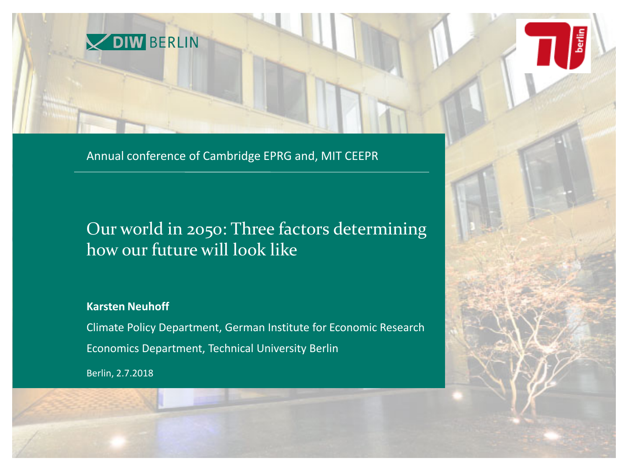

Annual conference of Cambridge EPRG and, MIT CEEPR

### Our world in 2050: Three factors determining how our future will look like

**Karsten Neuhoff**

Climate Policy Department, German Institute for Economic Research Economics Department, Technical University Berlin

Berlin, 2.7.2018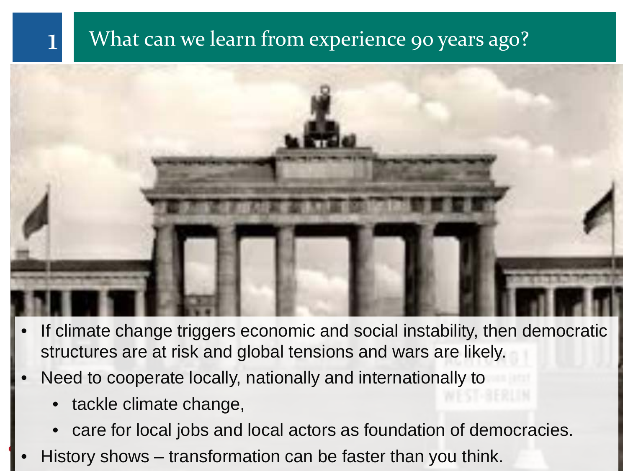# What can we learn from experience 90 years ago?



- If climate change triggers economic and social instability, then democratic structures are at risk and global tensions and wars are likely.
- Need to cooperate locally, nationally and internationally to
	- tackle climate change,
	- care for local jobs and local actors as foundation of democracies.
- History shows transformation can be faster than you think.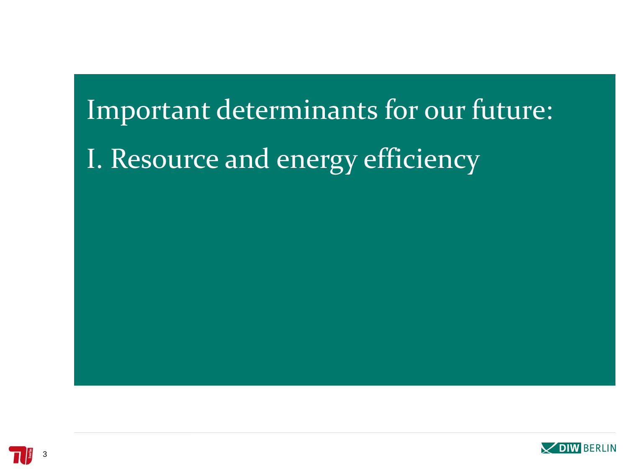# Important determinants for our future: I. Resource and energy efficiency

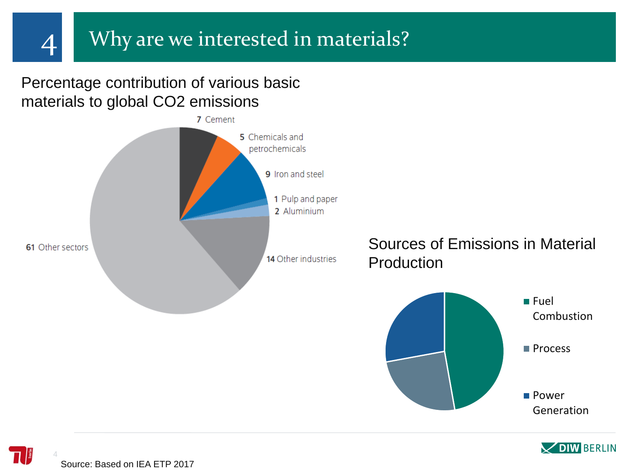Percentage contribution of various basic materials to global CO2 emissions





4 Source: Based on IEA ETP 2017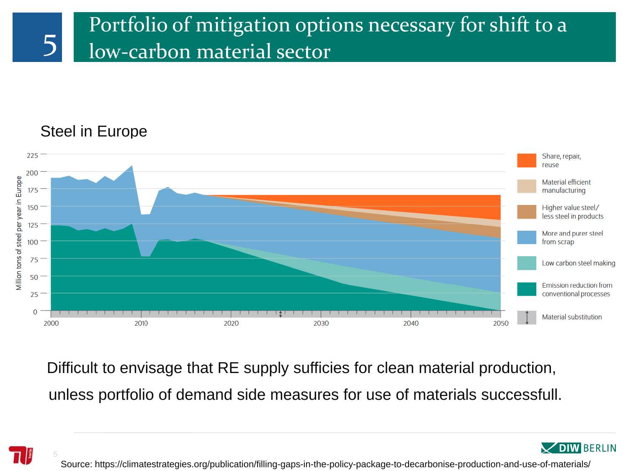

### Steel in Europe



Difficult to envisage that RE supply sufficies for clean material production, unless portfolio of demand side measures for use of materials successfull.



**DIW BERLIN**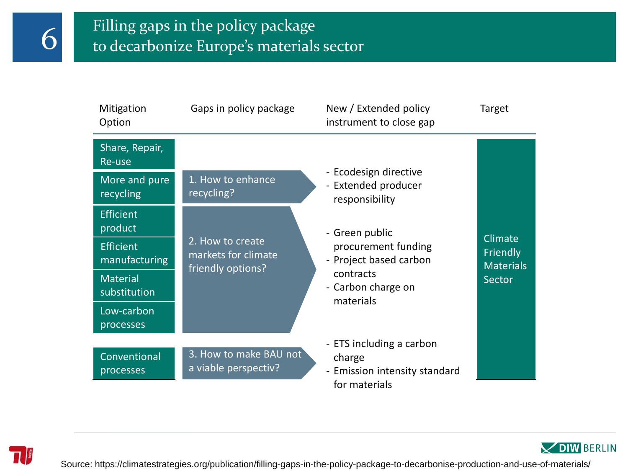

# $\begin{array}{|l|} \hline \text{Filling gaps in the policy package} \\\hline \text{to decarbonize Europe's materials sector} \end{array}$

| Mitigation<br>Option                                   | Gaps in policy package                                       | New / Extended policy<br>instrument to close gap                                     | Target                       |
|--------------------------------------------------------|--------------------------------------------------------------|--------------------------------------------------------------------------------------|------------------------------|
| Share, Repair,<br>Re-use<br>More and pure<br>recycling | 1. How to enhance<br>recycling?                              | - Ecodesign directive<br>- Extended producer<br>responsibility                       |                              |
| <b>Efficient</b><br>product                            |                                                              | - Green public                                                                       | Climate                      |
| <b>Efficient</b><br>manufacturing                      | 2. How to create<br>markets for climate<br>friendly options? | procurement funding<br>- Project based carbon                                        | Friendly<br><b>Materials</b> |
| <b>Material</b><br>substitution                        |                                                              | contracts<br>- Carbon charge on<br>materials                                         | Sector                       |
| Low-carbon<br>processes                                |                                                              |                                                                                      |                              |
| Conventional<br>processes                              | 3. How to make BAU not<br>a viable perspectiv?               | - ETS including a carbon<br>charge<br>- Emission intensity standard<br>for materials |                              |



Source: https://climatestrategies.org/publication/filling-gaps-in-the-policy-package-to-decarbonise-production-and-use-of-materials/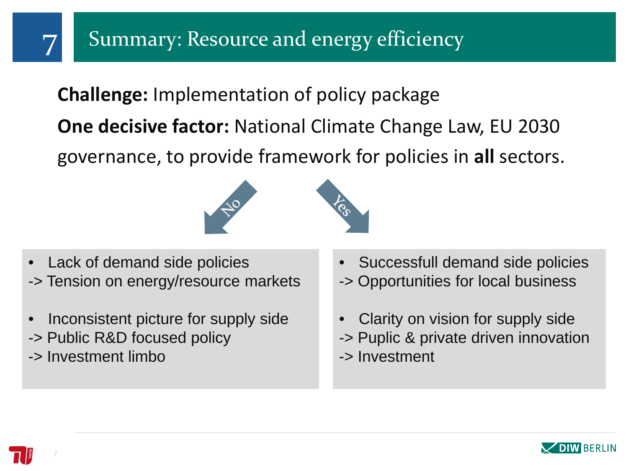# **Challenge:** Implementation of policy package

**One decisive factor:** National Climate Change Law, EU 2030

governance, to provide framework for policies in **all** sectors.



- Lack of demand side policies -> Tension on energy/resource markets
- Inconsistent picture for supply side
- -> Public R&D focused policy
- -> Investment limbo
- Successfull demand side policies
- -> Opportunities for local business
- Clarity on vision for supply side
- -> Puplic & private driven innovation
- -> Investment



7

7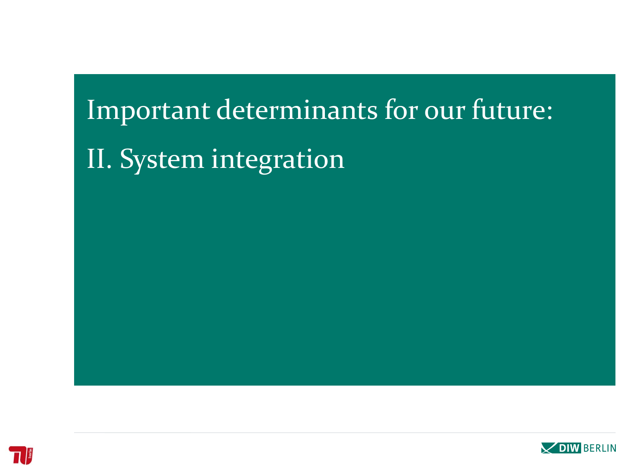# Important determinants for our future: II. System integration



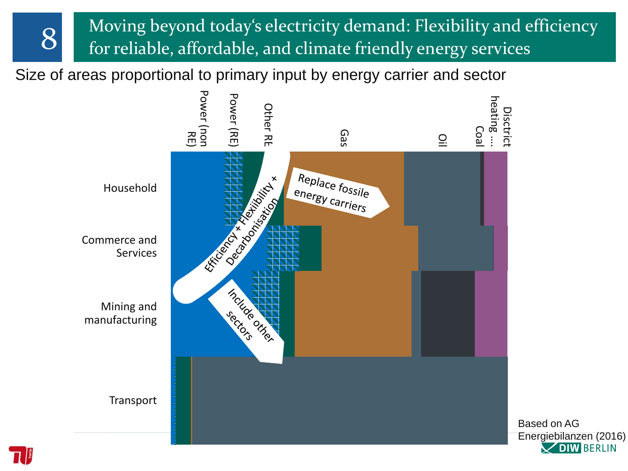8 Moving beyond today's electricity demand: Flexibility and efficiency for reliable, affordable, and climate friendly energy services

Size of areas proportional to primary input by energy carrier and sector



Based on AG Energiebilanzen (2016) **V DIW BERLIN**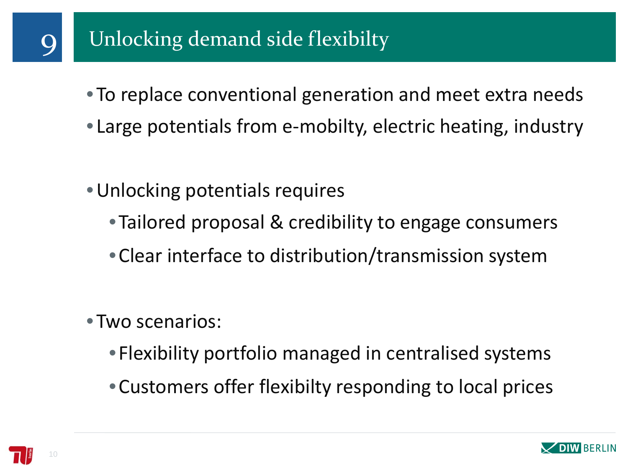- To replace conventional generation and meet extra needs
- Large potentials from e-mobilty, electric heating, industry
- •Unlocking potentials requires
	- •Tailored proposal & credibility to engage consumers
	- •Clear interface to distribution/transmission system
- Two scenarios:
	- Flexibility portfolio managed in centralised systems
	- •Customers offer flexibilty responding to local prices



10

9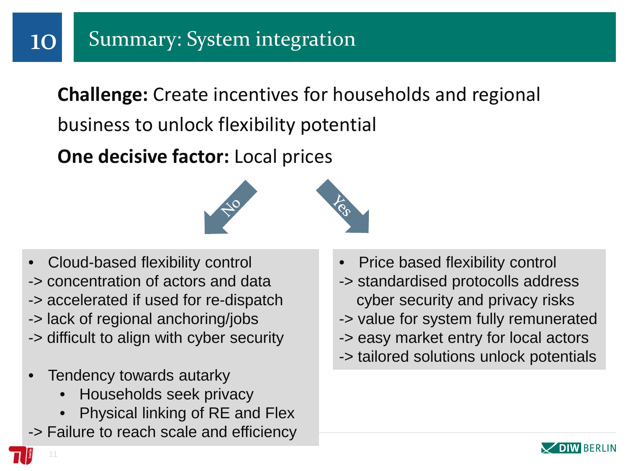**Challenge:** Create incentives for households and regional business to unlock flexibility potential

**One decisive factor:** Local prices



- Cloud-based flexibility control
- -> concentration of actors and data
- -> accelerated if used for re-dispatch
- -> lack of regional anchoring/jobs
- -> difficult to align with cyber security
- Tendency towards autarky
	- Households seek privacy
	- Physical linking of RE and Flex
- -> Failure to reach scale and efficiency
- Price based flexibility control
- -> standardised protocolls address cyber security and privacy risks
- -> value for system fully remunerated
- -> easy market entry for local actors
- -> tailored solutions unlock potentials



11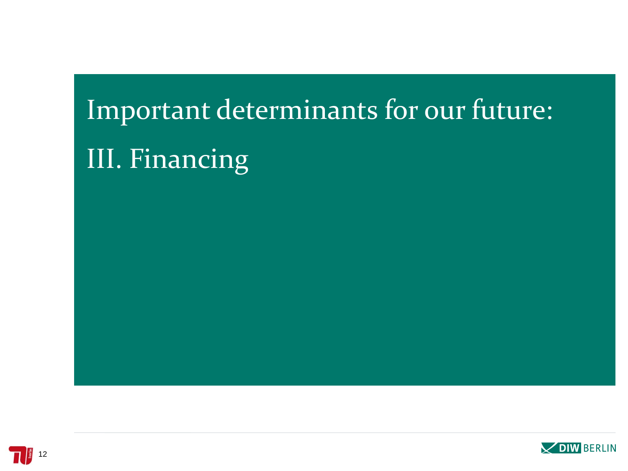# Important determinants for our future: III. Financing

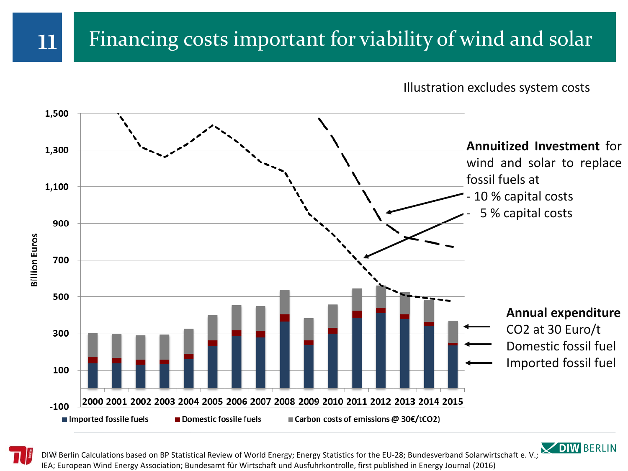# 11 Financing costs important for viability of wind and solar

Illustration excludes system costs





DIW Berlin Calculations based on BP Statistical Review of World Energy; Energy Statistics for the EU-28; Bundesverband Solarwirtschaft e. V.; IEA; European Wind Energy Association; Bundesamt für Wirtschaft und Ausfuhrkontrolle, first published in Energy Journal (2016)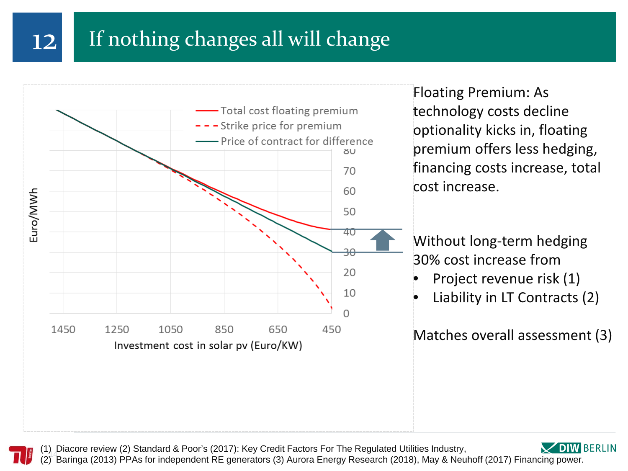# 12 If nothing changes all will change



Floating Premium: As technology costs decline optionality kicks in, floating premium offers less hedging, financing costs increase, total cost increase.

Without long-term hedging 30% cost increase from

- Project revenue risk (1)
- Liability in LT Contracts (2)

Matches overall assessment (3)



(1) Baringa (2013) PPAs for independent RE generators (3) Aurora Energy Research (2018), May & Neuhoff (2017) Financing power. (1) Diacore review (2) Standard & Poor's (2017): Key Credit Factors For The Regulated Utilities Industry,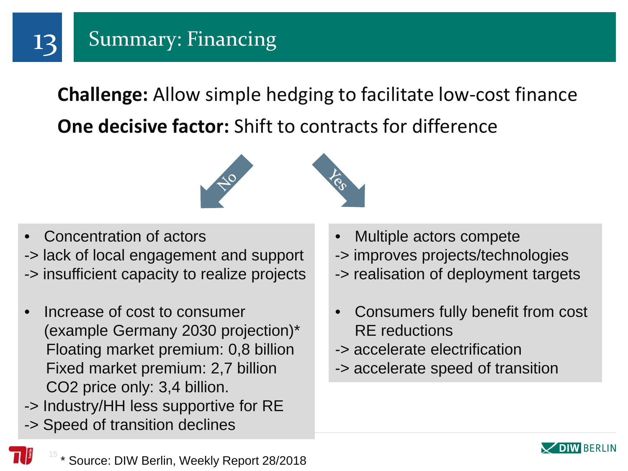

**Challenge:** Allow simple hedging to facilitate low-cost finance **One decisive factor:** Shift to contracts for difference



- Concentration of actors -> lack of local engagement and support -> insufficient capacity to realize projects
- Increase of cost to consumer (example Germany 2030 projection)\* Floating market premium: 0,8 billion Fixed market premium: 2,7 billion CO2 price only: 3,4 billion.
- -> Industry/HH less supportive for RE
- -> Speed of transition declines
- Multiple actors compete
- -> improves projects/technologies
- -> realisation of deployment targets
- Consumers fully benefit from cost RE reductions
- -> accelerate electrification
- -> accelerate speed of transition